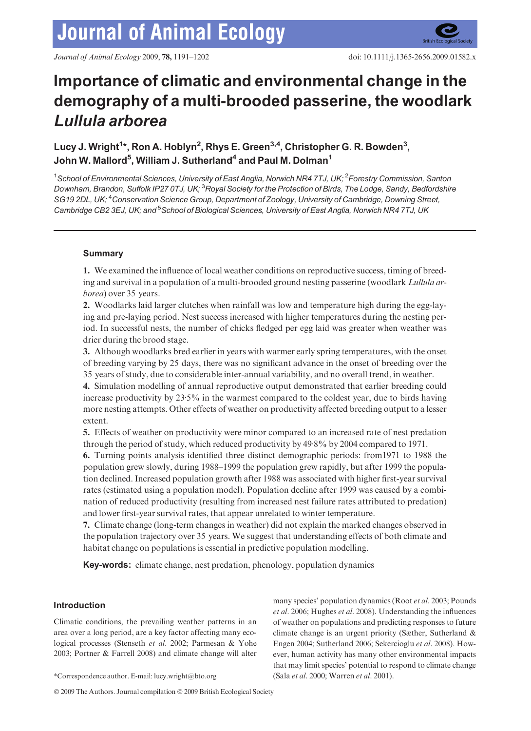# Importance of climatic and environmental change in the demography of a multi-brooded passerine, the woodlark Lullula arborea

Lucy J. Wright<sup>1</sup>\*, Ron A. Hoblyn<sup>2</sup>, Rhys E. Green<sup>3,4</sup>, Christopher G. R. Bowden<sup>3</sup>, John W. Mallord<sup>5</sup>, William J. Sutherland<sup>4</sup> and Paul M. Dolman<sup>1</sup>

 $^{\rm 1}$ School of Environmental Sciences, University of East Anglia, Norwich NR4 7TJ, UK; $^{\rm 2}$ Forestry Commission, Santon Downham, Brandon, Suffolk IP27 0TJ, UK; <sup>3</sup>Royal Society for the Protection of Birds, The Lodge, Sandy, Bedfordshire SG19 2DL, UK;<sup>4</sup> Conservation Science Group, Department of Zoology, University of Cambridge, Downing Street, Cambridge CB2 3EJ, UK; and <sup>5</sup>School of Biological Sciences, University of East Anglia, Norwich NR4 7TJ, UK

# Summary

1. We examined the influence of local weather conditions on reproductive success, timing of breeding and survival in a population of a multi-brooded ground nesting passerine (woodlark Lullula arborea) over 35 years.

2. Woodlarks laid larger clutches when rainfall was low and temperature high during the egg-laying and pre-laying period. Nest success increased with higher temperatures during the nesting period. In successful nests, the number of chicks fledged per egg laid was greater when weather was drier during the brood stage.

3. Although woodlarks bred earlier in years with warmer early spring temperatures, with the onset of breeding varying by 25 days, there was no significant advance in the onset of breeding over the 35 years of study, due to considerable inter-annual variability, and no overall trend, in weather.

4. Simulation modelling of annual reproductive output demonstrated that earlier breeding could increase productivity by  $23.5\%$  in the warmest compared to the coldest year, due to birds having more nesting attempts. Other effects of weather on productivity affected breeding output to a lesser extent.

5. Effects of weather on productivity were minor compared to an increased rate of nest predation through the period of study, which reduced productivity by  $49.8\%$  by 2004 compared to 1971.

6. Turning points analysis identified three distinct demographic periods: from1971 to 1988 the population grew slowly, during 1988–1999 the population grew rapidly, but after 1999 the population declined. Increased population growth after 1988 was associated with higher first-year survival rates (estimated using a population model). Population decline after 1999 was caused by a combination of reduced productivity (resulting from increased nest failure rates attributed to predation) and lower first-year survival rates, that appear unrelated to winter temperature.

7. Climate change (long-term changes in weather) did not explain the marked changes observed in the population trajectory over 35 years. We suggest that understanding effects of both climate and habitat change on populations is essential in predictive population modelling.

Key-words: climate change, nest predation, phenology, population dynamics

# Introduction

Climatic conditions, the prevailing weather patterns in an area over a long period, are a key factor affecting many ecological processes (Stenseth et al. 2002; Parmesan & Yohe 2003; Portner & Farrell 2008) and climate change will alter

\*Correspondence author. E-mail: lucy.wright@bto.org (Sala et al. 2000; Warren et al. 2001).

many species' population dynamics (Root et al. 2003; Pounds et al. 2006; Hughes et al. 2008). Understanding the influences of weather on populations and predicting responses to future climate change is an urgent priority (Sæther, Sutherland & Engen 2004; Sutherland 2006; Sekercioglu et al. 2008). However, human activity has many other environmental impacts that may limit species' potential to respond to climate change

<sup>© 2009</sup> The Authors. Journal compilation © 2009 British Ecological Society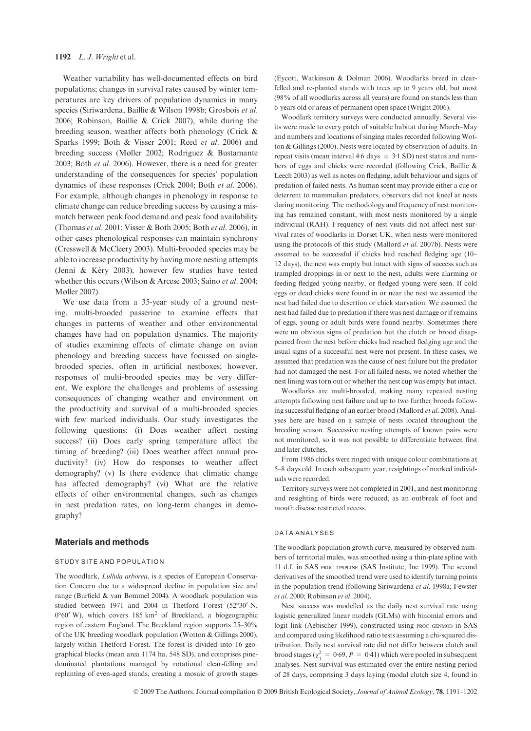#### 1192 *L. J. Wright et al.*

Weather variability has well-documented effects on bird populations; changes in survival rates caused by winter temperatures are key drivers of population dynamics in many species (Siriwardena, Baillie & Wilson 1998b; Grosbois et al. 2006; Robinson, Baillie & Crick 2007), while during the breeding season, weather affects both phenology (Crick & Sparks 1999; Both & Visser 2001; Reed et al. 2006) and breeding success (Møller 2002; Rodriguez & Bustamante 2003; Both et al. 2006). However, there is a need for greater understanding of the consequences for species' population dynamics of these responses (Crick 2004; Both et al. 2006). For example, although changes in phenology in response to climate change can reduce breeding success by causing a mismatch between peak food demand and peak food availability (Thomas et al. 2001; Visser & Both 2005; Both et al. 2006), in other cases phenological responses can maintain synchrony (Cresswell & McCleery 2003). Multi-brooded species may be able to increase productivity by having more nesting attempts (Jenni & Kéry 2003), however few studies have tested whether this occurs (Wilson & Arcese 2003; Saino et al. 2004; Møller 2007).

We use data from a 35-year study of a ground nesting, multi-brooded passerine to examine effects that changes in patterns of weather and other environmental changes have had on population dynamics. The majority of studies examining effects of climate change on avian phenology and breeding success have focussed on singlebrooded species, often in artificial nestboxes; however, responses of multi-brooded species may be very different. We explore the challenges and problems of assessing consequences of changing weather and environment on the productivity and survival of a multi-brooded species with few marked individuals. Our study investigates the following questions: (i) Does weather affect nesting success? (ii) Does early spring temperature affect the timing of breeding? (iii) Does weather affect annual productivity? (iv) How do responses to weather affect demography? (v) Is there evidence that climatic change has affected demography? (vi) What are the relative effects of other environmental changes, such as changes in nest predation rates, on long-term changes in demography?

# Materials and methods

#### STUDY SITE AND POPULATION

The woodlark, Lullula arborea, is a species of European Conservation Concern due to a widespread decline in population size and range (Burfield & van Bommel 2004). A woodlark population was studied between 1971 and 2004 in Thetford Forest ( $52^{\circ}30'$  N, 0 $^{\circ}60'$  W), which covers 185 km<sup>2</sup> of Breckland, a biogeographic region of eastern England. The Breckland region supports 25–30% of the UK breeding woodlark population (Wotton & Gillings 2000), largely within Thetford Forest. The forest is divided into 16 geographical blocks (mean area 1174 ha, 548 SD), and comprises pinedominated plantations managed by rotational clear-felling and replanting of even-aged stands, creating a mosaic of growth stages (Eycott, Watkinson & Dolman 2006). Woodlarks breed in clearfelled and re-planted stands with trees up to 9 years old, but most (98% of all woodlarks across all years) are found on stands less than 6 years old or areas of permanent open space (Wright 2006).

Woodlark territory surveys were conducted annually. Several visits were made to every patch of suitable habitat during March–May and numbers and locations of singing males recorded following Wotton & Gillings (2000). Nests were located by observation of adults. In repeat visits (mean interval 4.6 days  $\pm$  3.1 SD) nest status and numbers of eggs and chicks were recorded (following Crick, Baillie & Leech 2003) as well as notes on fledging, adult behaviour and signs of predation of failed nests. As human scent may provide either a cue or deterrent to mammalian predators, observers did not kneel at nests during monitoring. The methodology and frequency of nest monitoring has remained constant, with most nests monitored by a single individual (RAH). Frequency of nest visits did not affect nest survival rates of woodlarks in Dorset UK, when nests were monitored using the protocols of this study (Mallord et al. 2007b). Nests were assumed to be successful if chicks had reached fledging age (10– 12 days), the nest was empty but intact with signs of success such as trampled droppings in or next to the nest, adults were alarming or feeding fledged young nearby, or fledged young were seen. If cold eggs or dead chicks were found in or near the nest we assumed the nest had failed due to desertion or chick starvation. We assumed the nest had failed due to predation if there was nest damage or if remains of eggs, young or adult birds were found nearby. Sometimes there were no obvious signs of predation but the clutch or brood disappeared from the nest before chicks had reached fledging age and the usual signs of a successful nest were not present. In these cases, we assumed that predation was the cause of nest failure but the predator had not damaged the nest. For all failed nests, we noted whether the nest lining was torn out or whether the nest cup was empty but intact.

Woodlarks are multi-brooded, making many repeated nesting attempts following nest failure and up to two further broods following successful fledging of an earlier brood (Mallord et al. 2008). Analyses here are based on a sample of nests located throughout the breeding season. Successive nesting attempts of known pairs were not monitored, so it was not possible to differentiate between first and later clutches.

From 1986 chicks were ringed with unique colour combinations at 5–8 days old. In each subsequent year, resightings of marked individuals were recorded.

Territory surveys were not completed in 2001, and nest monitoring and resighting of birds were reduced, as an outbreak of foot and mouth disease restricted access.

#### DATA ANALYSES

The woodlark population growth curve, measured by observed numbers of territorial males, was smoothed using a thin-plate spline with 11 d.f. in SAS proc tpspline (SAS Institute, Inc 1999). The second derivatives of the smoothed trend were used to identify turning points in the population trend (following Siriwardena et al. 1998a; Fewster et al. 2000; Robinson et al. 2004).

Nest success was modelled as the daily nest survival rate using logistic generalized linear models (GLMs) with binomial errors and logit link (Aebischer 1999), constructed using PROC GENMOD in SAS and compared using likelihood ratio tests assuming a chi-squared distribution. Daily nest survival rate did not differ between clutch and brood stages ( $\chi_1^2 = 0.69$ ,  $P = 0.41$ ) which were pooled in subsequent analyses. Nest survival was estimated over the entire nesting period of 28 days, comprising 3 days laying (modal clutch size 4, found in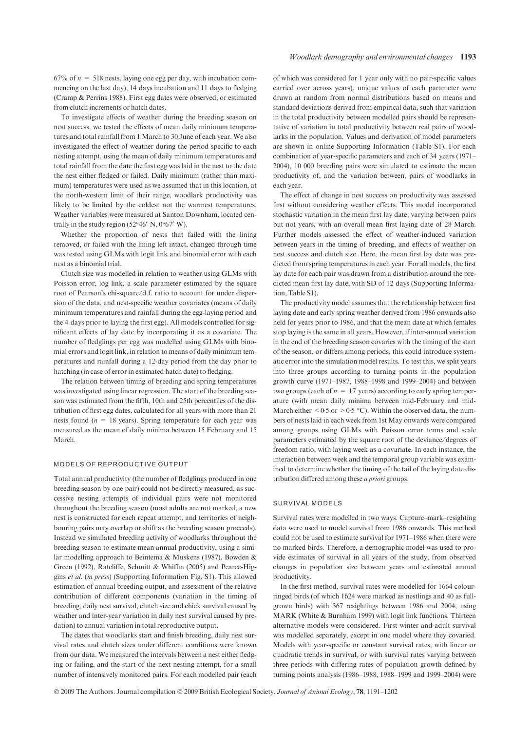67% of  $n = 518$  nests, laying one egg per day, with incubation commencing on the last day), 14 days incubation and 11 days to fledging (Cramp & Perrins 1988). First egg dates were observed, or estimated from clutch increments or hatch dates.

To investigate effects of weather during the breeding season on nest success, we tested the effects of mean daily minimum temperatures and total rainfall from 1 March to 30 June of each year. We also investigated the effect of weather during the period specific to each nesting attempt, using the mean of daily minimum temperatures and total rainfall from the date the first egg was laid in the nest to the date the nest either fledged or failed. Daily minimum (rather than maximum) temperatures were used as we assumed that in this location, at the north-western limit of their range, woodlark productivity was likely to be limited by the coldest not the warmest temperatures. Weather variables were measured at Santon Downham, located centrally in the study region (52 $\degree$ 46 $\degree$  N, 0 $\degree$ 67 $\degree$  W).

Whether the proportion of nests that failed with the lining removed, or failed with the lining left intact, changed through time was tested using GLMs with logit link and binomial error with each nest as a binomial trial.

Clutch size was modelled in relation to weather using GLMs with Poisson error, log link, a scale parameter estimated by the square root of Pearson's chi-square ⁄ d.f. ratio to account for under dispersion of the data, and nest-specific weather covariates (means of daily minimum temperatures and rainfall during the egg-laying period and the 4 days prior to laying the first egg). All models controlled for significant effects of lay date by incorporating it as a covariate. The number of fledglings per egg was modelled using GLMs with binomial errors and logit link, in relation to means of daily minimum temperatures and rainfall during a 12-day period from the day prior to hatching (in case of error in estimated hatch date) to fledging.

The relation between timing of breeding and spring temperatures was investigated using linear regression. The start of the breeding season was estimated from the fifth, 10th and 25th percentiles of the distribution of first egg dates, calculated for all years with more than 21 nests found ( $n = 18$  years). Spring temperature for each year was measured as the mean of daily minima between 15 February and 15 March.

#### MODELS OF REPRODUCTIVE OUTPUT

Total annual productivity (the number of fledglings produced in one breeding season by one pair) could not be directly measured, as successive nesting attempts of individual pairs were not monitored throughout the breeding season (most adults are not marked, a new nest is constructed for each repeat attempt, and territories of neighbouring pairs may overlap or shift as the breeding season proceeds). Instead we simulated breeding activity of woodlarks throughout the breeding season to estimate mean annual productivity, using a similar modelling approach to Beintema & Muskens (1987), Bowden & Green (1992), Ratcliffe, Schmitt & Whiffin (2005) and Pearce-Higgins et al. (in press) (Supporting Information Fig. S1). This allowed estimation of annual breeding output, and assessment of the relative contribution of different components (variation in the timing of breeding, daily nest survival, clutch size and chick survival caused by weather and inter-year variation in daily nest survival caused by predation) to annual variation in total reproductive output.

The dates that woodlarks start and finish breeding, daily nest survival rates and clutch sizes under different conditions were known from our data. We measured the intervals between a nest either fledging or failing, and the start of the next nesting attempt, for a small number of intensively monitored pairs. For each modelled pair (each of which was considered for 1 year only with no pair-specific values carried over across years), unique values of each parameter were drawn at random from normal distributions based on means and standard deviations derived from empirical data, such that variation in the total productivity between modelled pairs should be representative of variation in total productivity between real pairs of woodlarks in the population. Values and derivation of model parameters are shown in online Supporting Information (Table S1). For each combination of year-specific parameters and each of 34 years (1971– 2004), 10 000 breeding pairs were simulated to estimate the mean productivity of, and the variation between, pairs of woodlarks in each year.

The effect of change in nest success on productivity was assessed first without considering weather effects. This model incorporated stochastic variation in the mean first lay date, varying between pairs but not years, with an overall mean first laying date of 28 March. Further models assessed the effect of weather-induced variation between years in the timing of breeding, and effects of weather on nest success and clutch size. Here, the mean first lay date was predicted from spring temperatures in each year. For all models, the first lay date for each pair was drawn from a distribution around the predicted mean first lay date, with SD of 12 days (Supporting Information, Table S1).

The productivity model assumes that the relationship between first laying date and early spring weather derived from 1986 onwards also held for years prior to 1986, and that the mean date at which females stop laying is the same in all years. However, if inter-annual variation in the end of the breeding season covaries with the timing of the start of the season, or differs among periods, this could introduce systematic error into the simulation model results. To test this, we split years into three groups according to turning points in the population growth curve (1971–1987, 1988–1998 and 1999–2004) and between two groups (each of  $n = 17$  years) according to early spring temperature (with mean daily minima between mid-February and mid-March either  $\leq 0.5$  or  $\geq 0.5$  °C). Within the observed data, the numbers of nests laid in each week from 1st May onwards were compared among groups using GLMs with Poisson error terms and scale parameters estimated by the square root of the deviance/degrees of freedom ratio, with laying week as a covariate. In each instance, the interaction between week and the temporal group variable was examined to determine whether the timing of the tail of the laying date distribution differed among these a priori groups.

#### SURVIVAL MODELS

Survival rates were modelled in two ways. Capture–mark–resighting data were used to model survival from 1986 onwards. This method could not be used to estimate survival for 1971–1986 when there were no marked birds. Therefore, a demographic model was used to provide estimates of survival in all years of the study, from observed changes in population size between years and estimated annual productivity.

In the first method, survival rates were modelled for 1664 colourringed birds (of which 1624 were marked as nestlings and 40 as fullgrown birds) with 367 resightings between 1986 and 2004, using MARK (White & Burnham 1999) with logit link functions. Thirteen alternative models were considered. First winter and adult survival was modelled separately, except in one model where they covaried. Models with year-specific or constant survival rates, with linear or quadratic trends in survival, or with survival rates varying between three periods with differing rates of population growth defined by turning points analysis (1986–1988, 1988–1999 and 1999–2004) were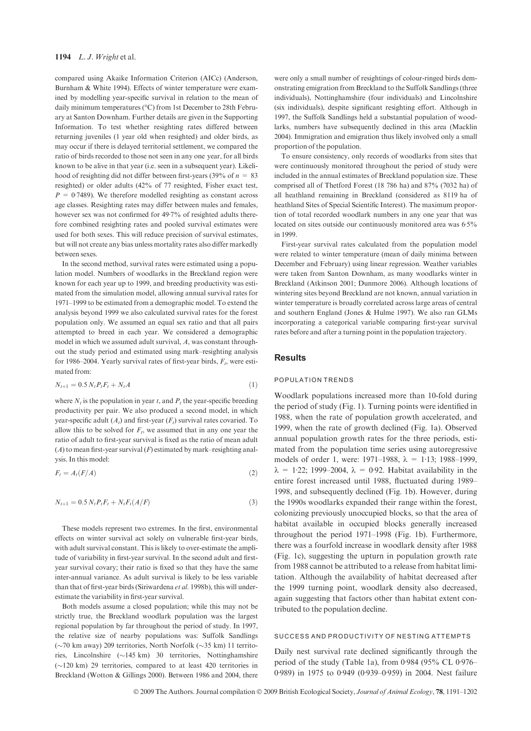#### 1194 *L. J. Wright* et al.

compared using Akaike Information Criterion (AICc) (Anderson, Burnham & White 1994). Effects of winter temperature were examined by modelling year-specific survival in relation to the mean of daily minimum temperatures ( $\degree$ C) from 1st December to 28th February at Santon Downham. Further details are given in the Supporting Information. To test whether resighting rates differed between returning juveniles (1 year old when resighted) and older birds, as may occur if there is delayed territorial settlement, we compared the ratio of birds recorded to those not seen in any one year, for all birds known to be alive in that year (i.e. seen in a subsequent year). Likelihood of resighting did not differ between first-years (39% of  $n = 83$ ) resighted) or older adults (42% of 77 resighted, Fisher exact test,  $P = 0.7489$ . We therefore modelled resighting as constant across age classes. Resighting rates may differ between males and females, however sex was not confirmed for  $49.7\%$  of resighted adults therefore combined resighting rates and pooled survival estimates were used for both sexes. This will reduce precision of survival estimates, but will not create any bias unless mortality rates also differ markedly between sexes.

In the second method, survival rates were estimated using a population model. Numbers of woodlarks in the Breckland region were known for each year up to 1999, and breeding productivity was estimated from the simulation model, allowing annual survival rates for 1971–1999 to be estimated from a demographic model. To extend the analysis beyond 1999 we also calculated survival rates for the forest population only. We assumed an equal sex ratio and that all pairs attempted to breed in each year. We considered a demographic model in which we assumed adult survival, A, was constant throughout the study period and estimated using mark–resighting analysis for 1986–2004. Yearly survival rates of first-year birds,  $F_t$ , were estimated from:

$$
N_{t+1} = 0.5 N_t P_t F_t + N_t A \tag{1}
$$

where  $N_t$  is the population in year t, and  $P_t$  the year-specific breeding productivity per pair. We also produced a second model, in which year-specific adult  $(A_t)$  and first-year  $(F_t)$  survival rates covaried. To allow this to be solved for  $F_t$ , we assumed that in any one year the ratio of adult to first-year survival is fixed as the ratio of mean adult  $(A)$  to mean first-year survival  $(F)$  estimated by mark–resighting analysis. In this model:

$$
F_t = A_t(F/A) \tag{2}
$$

$$
N_{t+1} = 0.5 N_t P_t F_t + N_t F_t (A/F) \tag{3}
$$

These models represent two extremes. In the first, environmental effects on winter survival act solely on vulnerable first-year birds, with adult survival constant. This is likely to over-estimate the amplitude of variability in first-year survival. In the second adult and firstyear survival covary; their ratio is fixed so that they have the same inter-annual variance. As adult survival is likely to be less variable than that of first-year birds (Siriwardena et al. 1998b), this will underestimate the variability in first-year survival.

Both models assume a closed population; while this may not be strictly true, the Breckland woodlark population was the largest regional population by far throughout the period of study. In 1997, the relative size of nearby populations was: Suffolk Sandlings  $(\sim]70 \text{ km}$  away) 209 territories, North Norfolk  $(\sim]35 \text{ km})$  11 territories, Lincolnshire (~145 km) 30 territories, Nottinghamshire  $(\sim] 120$  km) 29 territories, compared to at least 420 territories in Breckland (Wotton & Gillings 2000). Between 1986 and 2004, there

were only a small number of resightings of colour-ringed birds demonstrating emigration from Breckland to the Suffolk Sandlings (three individuals), Nottinghamshire (four individuals) and Lincolnshire (six individuals), despite significant resighting effort. Although in 1997, the Suffolk Sandlings held a substantial population of woodlarks, numbers have subsequently declined in this area (Macklin 2004). Immigration and emigration thus likely involved only a small proportion of the population.

To ensure consistency, only records of woodlarks from sites that were continuously monitored throughout the period of study were included in the annual estimates of Breckland population size. These comprised all of Thetford Forest (18 786 ha) and 87% (7032 ha) of all heathland remaining in Breckland (considered as 8119 ha of heathland Sites of Special Scientific Interest). The maximum proportion of total recorded woodlark numbers in any one year that was located on sites outside our continuously monitored area was  $6.5\%$ in 1999.

First-year survival rates calculated from the population model were related to winter temperature (mean of daily minima between December and February) using linear regression. Weather variables were taken from Santon Downham, as many woodlarks winter in Breckland (Atkinson 2001; Dunmore 2006). Although locations of wintering sites beyond Breckland are not known, annual variation in winter temperature is broadly correlated across large areas of central and southern England (Jones & Hulme 1997). We also ran GLMs incorporating a categorical variable comparing first-year survival rates before and after a turning point in the population trajectory.

#### **Results**

#### POPULATION TRENDS

Woodlark populations increased more than 10-fold during the period of study (Fig. 1). Turning points were identified in 1988, when the rate of population growth accelerated, and 1999, when the rate of growth declined (Fig. 1a). Observed annual population growth rates for the three periods, estimated from the population time series using autoregressive models of order 1, were: 1971–1988,  $\lambda = 1.13$ ; 1988–1999,  $\lambda = 1.22$ ; 1999–2004,  $\lambda = 0.92$ . Habitat availability in the entire forest increased until 1988, fluctuated during 1989– 1998, and subsequently declined (Fig. 1b). However, during the 1990s woodlarks expanded their range within the forest, colonizing previously unoccupied blocks, so that the area of habitat available in occupied blocks generally increased throughout the period 1971–1998 (Fig. 1b). Furthermore, there was a fourfold increase in woodlark density after 1988 (Fig. 1c), suggesting the upturn in population growth rate from 1988 cannot be attributed to a release from habitat limitation. Although the availability of habitat decreased after the 1999 turning point, woodlark density also decreased, again suggesting that factors other than habitat extent contributed to the population decline.

## SUCCESS AND PRODUCTIVITY OF NESTING ATTEMPTS

Daily nest survival rate declined significantly through the period of the study (Table 1a), from 0.984 (95% CL 0.976– 0.989) in 1975 to 0.949 (0.939–0.959) in 2004. Nest failure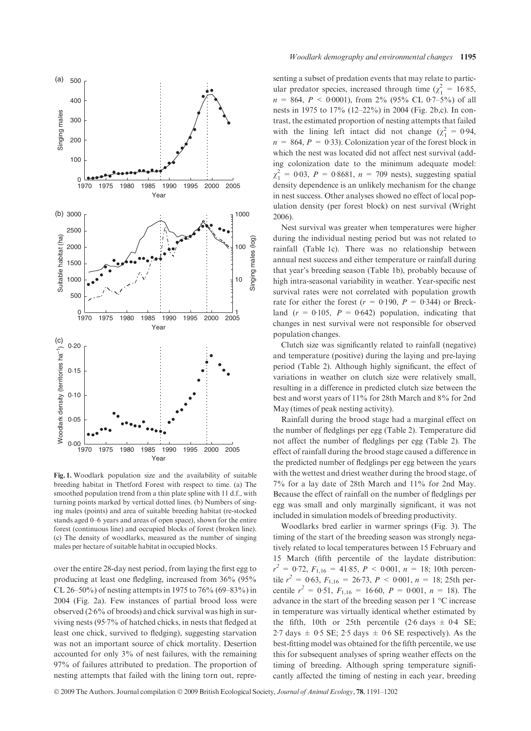

Fig. 1. Woodlark population size and the availability of suitable breeding habitat in Thetford Forest with respect to time. (a) The smoothed population trend from a thin plate spline with 11 d.f., with turning points marked by vertical dotted lines. (b) Numbers of singing males (points) and area of suitable breeding habitat (re-stocked stands aged 0–6 years and areas of open space), shown for the entire forest (continuous line) and occupied blocks of forest (broken line). (c) The density of woodlarks, measured as the number of singing males per hectare of suitable habitat in occupied blocks.

over the entire 28-day nest period, from laying the first egg to producing at least one fledgling, increased from 36% (95% CL 26–50%) of nesting attempts in 1975 to 76% (69–83%) in 2004 (Fig. 2a). Few instances of partial brood loss were observed  $(2.6\%$  of broods) and chick survival was high in surviving nests (95.7% of hatched chicks, in nests that fledged at least one chick, survived to fledging), suggesting starvation was not an important source of chick mortality. Desertion accounted for only 3% of nest failures, with the remaining 97% of failures attributed to predation. The proportion of nesting attempts that failed with the lining torn out, representing a subset of predation events that may relate to particular predator species, increased through time ( $\chi_1^2 = 16.85$ ,  $n = 864$ ,  $P < 0.0001$ ), from 2% (95% CL 0.7–5%) of all nests in 1975 to 17% (12–22%) in 2004 (Fig. 2b,c). In contrast, the estimated proportion of nesting attempts that failed with the lining left intact did not change  $(\chi_1^2 = 0.94,$  $n = 864$ ,  $P = 0.33$ ). Colonization year of the forest block in which the nest was located did not affect nest survival (adding colonization date to the minimum adequate model:  $\chi_1^2 = 0.03, P = 0.8681, n = 709 \text{ nests}, \text{ suggesting spatial}$ density dependence is an unlikely mechanism for the change in nest success. Other analyses showed no effect of local population density (per forest block) on nest survival (Wright 2006).

Nest survival was greater when temperatures were higher during the individual nesting period but was not related to rainfall (Table 1c). There was no relationship between annual nest success and either temperature or rainfall during that year's breeding season (Table 1b), probably because of high intra-seasonal variability in weather. Year-specific nest survival rates were not correlated with population growth rate for either the forest ( $r = 0.190$ ,  $P = 0.344$ ) or Breckland  $(r = 0.105, P = 0.642)$  population, indicating that changes in nest survival were not responsible for observed population changes.

Clutch size was significantly related to rainfall (negative) and temperature (positive) during the laying and pre-laying period (Table 2). Although highly significant, the effect of variations in weather on clutch size were relatively small, resulting in a difference in predicted clutch size between the best and worst years of 11% for 28th March and 8% for 2nd May (times of peak nesting activity).

Rainfall during the brood stage had a marginal effect on the number of fledglings per egg (Table 2). Temperature did not affect the number of fledglings per egg (Table 2). The effect of rainfall during the brood stage caused a difference in the predicted number of fledglings per egg between the years with the wettest and driest weather during the brood stage, of 7% for a lay date of 28th March and 11% for 2nd May. Because the effect of rainfall on the number of fledglings per egg was small and only marginally significant, it was not included in simulation models of breeding productivity.

Woodlarks bred earlier in warmer springs (Fig. 3). The timing of the start of the breeding season was strongly negatively related to local temperatures between 15 February and 15 March (fifth percentile of the laydate distribution:  $r^2 = 0.72$ ,  $F_{1,16} = 41.85$ ,  $P < 0.001$ ,  $n = 18$ ; 10th percentile  $r^2 = 0.63$ ,  $F_{1,16} = 26.73$ ,  $P < 0.001$ ,  $n = 18$ ; 25th percentile  $r^2 = 0.51$ ,  $F_{1,16} = 16.60$ ,  $P = 0.001$ ,  $n = 18$ ). The advance in the start of the breeding season per  $1 \degree C$  increase in temperature was virtually identical whether estimated by the fifth, 10th or 25th percentile (2.6 days  $\pm$  0.4 SE;  $2.7 \text{ days} \pm 0.5 \text{ SE}$ ;  $2.5 \text{ days} \pm 0.6 \text{ SE}$  respectively). As the best-fitting model was obtained for the fifth percentile, we use this for subsequent analyses of spring weather effects on the timing of breeding. Although spring temperature significantly affected the timing of nesting in each year, breeding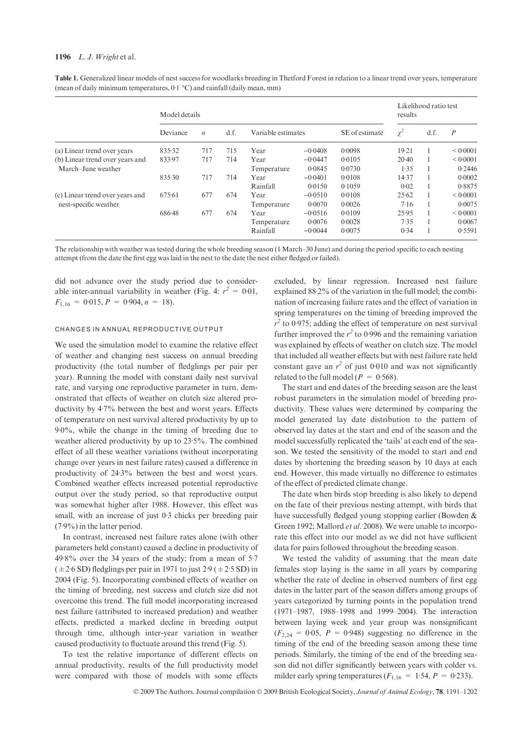| Table 1. Generalized linear models of nest success for woodlarks breeding in Thetford Forest in relation to a linear trend over years, temperature |  |  |  |  |
|----------------------------------------------------------------------------------------------------------------------------------------------------|--|--|--|--|
| (mean of daily minimum temperatures, $0.1 \text{ }^{\circ}C$ ) and rainfall (daily mean, mm)                                                       |  |  |  |  |

|                                 | Model details |                  |      |                    |           |                | results  | Likelihood ratio test |                  |
|---------------------------------|---------------|------------------|------|--------------------|-----------|----------------|----------|-----------------------|------------------|
|                                 | Deviance      | $\boldsymbol{n}$ | d.f. | Variable estimates |           | SE of estimate | $\chi^2$ | d.f.                  | $\boldsymbol{P}$ |
| (a) Linear trend over years     | 835.32        | 717              | 715  | Year               | $-0.0408$ | 0.0098         | 19.21    |                       | < 0.0001         |
| (b) Linear trend over years and | 833.97        | 717              | 714  | Year               | $-0.0447$ | 0.0105         | $20-40$  |                       | < 0.0001         |
| March-June weather              |               |                  |      | Temperature        | 0.0845    | 0.0730         | 1.35     |                       | 0.2446           |
|                                 | 835.30        | 717              | 714  | Year               | $-0.0401$ | 0.0108         | 14.37    |                       | 0.0002           |
|                                 |               |                  |      | Rainfall           | 0.0150    | 0.1059         | 0.02     |                       | 0.8875           |
| (c) Linear trend over years and | 675.61        | 677              | 674  | Year               | $-0.0510$ | 0.0108         | 25.62    |                       | < 0.0001         |
| nest-specific weather           |               |                  |      | Temperature        | 0.0070    | 0.0026         | 7.16     |                       | 0.0075           |
|                                 | 686.48        | 677              | 674  | Year               | $-0.0516$ | 0.0109         | 25.95    |                       | < 0.0001         |
|                                 |               |                  |      | Temperature        | 0.0076    | 0.0028         | 7.35     |                       | 0.0067           |
|                                 |               |                  |      | Rainfall           | $-0.0044$ | 0.0075         | 0.34     |                       | 0.5591           |

The relationship with weather was tested during the whole breeding season (1 March–30 June) and during the period specific to each nesting attempt (from the date the first egg was laid in the nest to the date the nest either fledged or failed).

did not advance over the study period due to considerable inter-annual variability in weather (Fig. 4:  $r^2 = 0.01$ ,  $F_{1,16} = 0.015, P = 0.904, n = 18.$ 

#### CHANGES IN ANNUAL REPRODUCTIVE OUTPUT

We used the simulation model to examine the relative effect of weather and changing nest success on annual breeding productivity (the total number of fledglings per pair per year). Running the model with constant daily nest survival rate, and varying one reproductive parameter in turn, demonstrated that effects of weather on clutch size altered productivity by  $4.7\%$  between the best and worst years. Effects of temperature on nest survival altered productivity by up to  $9.0\%$ , while the change in the timing of breeding due to weather altered productivity by up to  $23.5\%$ . The combined effect of all these weather variations (without incorporating change over years in nest failure rates) caused a difference in productivity of 24.3% between the best and worst years. Combined weather effects increased potential reproductive output over the study period, so that reproductive output was somewhat higher after 1988. However, this effect was small, with an increase of just  $0.3$  chicks per breeding pair  $(7.9\%)$  in the latter period.

In contrast, increased nest failure rates alone (with other parameters held constant) caused a decline in productivity of 49.8% over the 34 years of the study; from a mean of  $5.7$  $(\pm 2.6$  SD) fledglings per pair in 1971 to just 2.9 ( $\pm 2.5$  SD) in 2004 (Fig. 5). Incorporating combined effects of weather on the timing of breeding, nest success and clutch size did not overcome this trend. The full model incorporating increased nest failure (attributed to increased predation) and weather effects, predicted a marked decline in breeding output through time, although inter-year variation in weather caused productivity to fluctuate around this trend (Fig. 5).

To test the relative importance of different effects on annual productivity, results of the full productivity model were compared with those of models with some effects

excluded, by linear regression. Increased nest failure explained  $88.2\%$  of the variation in the full model; the combination of increasing failure rates and the effect of variation in spring temperatures on the timing of breeding improved the  $r<sup>2</sup>$  to 0.975; adding the effect of temperature on nest survival further improved the  $r^2$  to 0.996 and the remaining variation was explained by effects of weather on clutch size. The model that included all weather effects but with nest failure rate held constant gave an  $r^2$  of just 0.010 and was not significantly related to the full model ( $P = 0.568$ ).

The start and end dates of the breeding season are the least robust parameters in the simulation model of breeding productivity. These values were determined by comparing the model generated lay date distribution to the pattern of observed lay dates at the start and end of the season and the model successfully replicated the 'tails' at each end of the season. We tested the sensitivity of the model to start and end dates by shortening the breeding season by 10 days at each end. However, this made virtually no difference to estimates of the effect of predicted climate change.

The date when birds stop breeding is also likely to depend on the fate of their previous nesting attempt, with birds that have successfully fledged young stopping earlier (Bowden & Green 1992; Mallord et al. 2008). We were unable to incorporate this effect into our model as we did not have sufficient data for pairs followed throughout the breeding season.

We tested the validity of assuming that the mean date females stop laying is the same in all years by comparing whether the rate of decline in observed numbers of first egg dates in the latter part of the season differs among groups of years categorized by turning points in the population trend (1971–1987, 1988–1998 and 1999–2004). The interaction between laying week and year group was nonsignificant  $(F_{2,24} = 0.05, P = 0.948)$  suggesting no difference in the timing of the end of the breeding season among these time periods. Similarly, the timing of the end of the breeding season did not differ significantly between years with colder vs. milder early spring temperatures ( $F_{1,16} = 1.54$ ,  $P = 0.233$ ).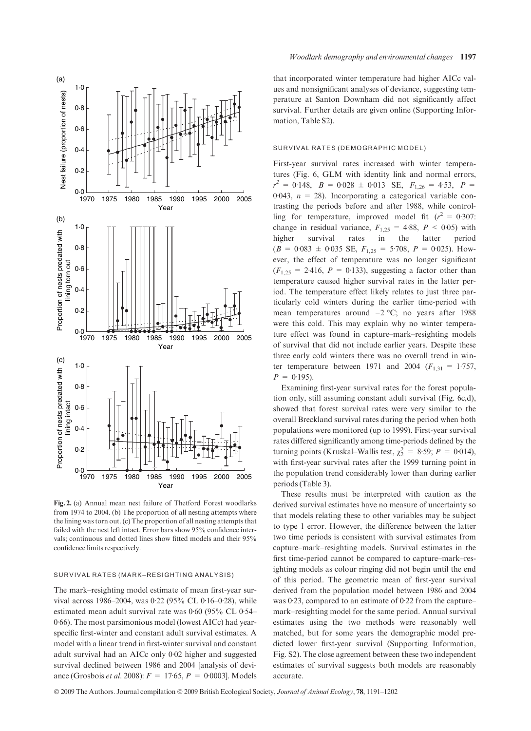

Fig. 2. (a) Annual mean nest failure of Thetford Forest woodlarks from 1974 to 2004. (b) The proportion of all nesting attempts where the lining was torn out. (c) The proportion of all nesting attempts that failed with the nest left intact. Error bars show 95% confidence intervals; continuous and dotted lines show fitted models and their 95% confidence limits respectively.

#### SURVIVAL RATES (MARK–RESIGHTING ANALYSIS)

The mark–resighting model estimate of mean first-year survival across 1986–2004, was 0.22 (95% CL 0.16–0.28), while estimated mean adult survival rate was  $0.60$  (95% CL  $0.54-$ 0.66). The most parsimonious model (lowest AICc) had yearspecific first-winter and constant adult survival estimates. A model with a linear trend in first-winter survival and constant adult survival had an AICc only  $0.02$  higher and suggested survival declined between 1986 and 2004 [analysis of deviance (Grosbois *et al.* 2008):  $F = 17.65$ ,  $P = 0.0003$ . Models that incorporated winter temperature had higher AICc values and nonsignificant analyses of deviance, suggesting temperature at Santon Downham did not significantly affect survival. Further details are given online (Supporting Information, Table S2).

# SURVIVAL RATES (DEMOGRAPHIC MODEL)

First-year survival rates increased with winter temperatures (Fig. 6, GLM with identity link and normal errors,  $r^2 = 0.148$ ,  $B = 0.028 \pm 0.013$  SE,  $F_{1,26} = 4.53$ ,  $P =$ 0.043,  $n = 28$ ). Incorporating a categorical variable contrasting the periods before and after 1988, while controlling for temperature, improved model fit  $(r^2 = 0.307$ : change in residual variance,  $F_{1,25} = 4.88$ ,  $P < 0.05$ ) with higher survival rates in the latter period  $(B = 0.083 \pm 0.035 \text{ SE}, F_{1,25} = 5.708, P = 0.025)$ . However, the effect of temperature was no longer significant  $(F<sub>1,25</sub> = 2.416, P = 0.133)$ , suggesting a factor other than temperature caused higher survival rates in the latter period. The temperature effect likely relates to just three particularly cold winters during the earlier time-period with mean temperatures around  $-2$  °C; no years after 1988 were this cold. This may explain why no winter temperature effect was found in capture–mark–resighting models of survival that did not include earlier years. Despite these three early cold winters there was no overall trend in winter temperature between 1971 and 2004 ( $F_{1,31} = 1.757$ ,  $P = 0.195$ .

Examining first-year survival rates for the forest population only, still assuming constant adult survival (Fig. 6c,d), showed that forest survival rates were very similar to the overall Breckland survival rates during the period when both populations were monitored (up to 1999). First-year survival rates differed significantly among time-periods defined by the turning points (Kruskal–Wallis test,  $\chi^2$  = 8.59;  $P = 0.014$ ), with first-year survival rates after the 1999 turning point in the population trend considerably lower than during earlier periods (Table 3).

These results must be interpreted with caution as the derived survival estimates have no measure of uncertainty so that models relating these to other variables may be subject to type 1 error. However, the difference between the latter two time periods is consistent with survival estimates from capture–mark–resighting models. Survival estimates in the first time-period cannot be compared to capture–mark–resighting models as colour ringing did not begin until the end of this period. The geometric mean of first-year survival derived from the population model between 1986 and 2004 was  $0.23$ , compared to an estimate of  $0.22$  from the capture– mark–resighting model for the same period. Annual survival estimates using the two methods were reasonably well matched, but for some years the demographic model predicted lower first-year survival (Supporting Information, Fig. S2). The close agreement between these two independent estimates of survival suggests both models are reasonably accurate.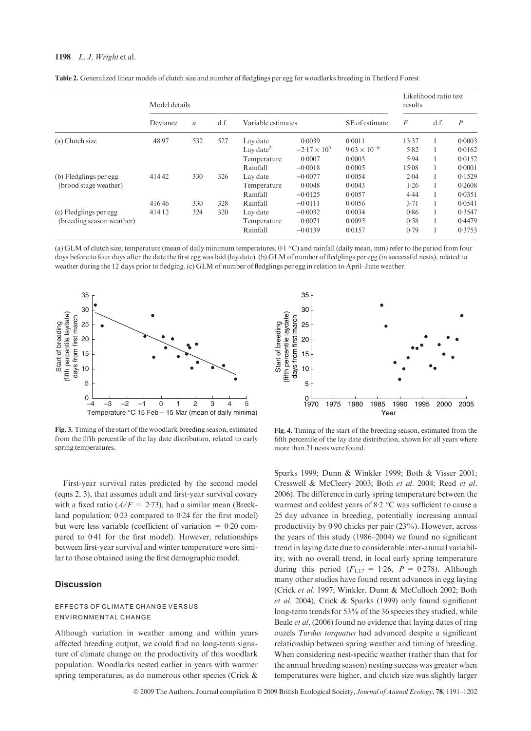|                           | Model details |                  |      |                       |                       |                       | results        | Likelihood ratio test |        |
|---------------------------|---------------|------------------|------|-----------------------|-----------------------|-----------------------|----------------|-----------------------|--------|
|                           | Deviance      | $\boldsymbol{n}$ | d.f. | Variable estimates    |                       | SE of estimate        | $\overline{F}$ | d.f.                  | P      |
| (a) Clutch size           | 48.97         | 532              | 527  | Lay date              | 0.0039                | 0.0011                | 13.37          |                       | 0.0003 |
|                           |               |                  |      | Lay date <sup>2</sup> | $-2.17 \times 10^{5}$ | $9.03 \times 10^{-6}$ | 5.82           |                       | 0.0162 |
|                           |               |                  |      | Temperature           | 0.0007                | 0.0003                | 5.94           |                       | 0.0152 |
|                           |               |                  |      | Rainfall              | $-0.0018$             | 0.0005                | 15.08          |                       | 0.0001 |
| (b) Fledglings per egg    | 414.42        | 330              | 326  | Lay date              | $-0.0077$             | 0.0054                | 2.04           |                       | 0.1529 |
| (brood stage weather)     |               |                  |      | Temperature           | 0.0048                | 0.0043                | 1.26           |                       | 0.2608 |
|                           |               |                  |      | Rainfall              | $-0.0125$             | 0.0057                | 4.44           |                       | 0.0351 |
|                           | 416.46        | 330              | 328  | Rainfall              | $-0.0111$             | 0.0056                | 3.71           |                       | 0.0541 |
| (c) Fledglings per egg    | 414.12        | 324              | 320  | Lay date              | $-0.0032$             | 0.0034                | 0.86           |                       | 0.3547 |
| (breeding season weather) |               |                  |      | Temperature           | 0.0071                | 0.0095                | 0.58           |                       | 0.4479 |
|                           |               |                  |      | Rainfall              | $-0.0139$             | 0.0157                | 0.79           |                       | 0.3753 |

| Table 2. Generalized linear models of clutch size and number of fledglings per egg for woodlarks breeding in Thetford Forest |  |  |  |
|------------------------------------------------------------------------------------------------------------------------------|--|--|--|
|------------------------------------------------------------------------------------------------------------------------------|--|--|--|

(a) GLM of clutch size; temperature (mean of daily minimum temperatures,  $0.1 \degree C$ ) and rainfall (daily mean, mm) refer to the period from four days before to four days after the date the first egg was laid (lay date). (b) GLM of number of fledglings per egg (in successful nests), related to weather during the 12 days prior to fledging. (c) GLM of number of fledglings per egg in relation to April–June weather.



Fig. 3. Timing of the start of the woodlark breeding season, estimated from the fifth percentile of the lay date distribution, related to early spring temperatures.

First-year survival rates predicted by the second model (eqns 2, 3), that assumes adult and first-year survival covary with a fixed ratio ( $A/F = 2.73$ ), had a similar mean (Breckland population:  $0.23$  compared to  $0.24$  for the first model) but were less variable (coefficient of variation  $= 0.20$  compared to 0.41 for the first model). However, relationships between first-year survival and winter temperature were similar to those obtained using the first demographic model.

# **Discussion**

# EFFECTS OF CLIMATE CHANGE VERSUS ENVIRONMENTAL CHANGE

Although variation in weather among and within years affected breeding output, we could find no long-term signature of climate change on the productivity of this woodlark population. Woodlarks nested earlier in years with warmer spring temperatures, as do numerous other species (Crick &



Fig. 4. Timing of the start of the breeding season, estimated from the fifth percentile of the lay date distribution, shown for all years where more than 21 nests were found.

Sparks 1999; Dunn & Winkler 1999; Both & Visser 2001; Cresswell & McCleery 2003; Both et al. 2004; Reed et al. 2006). The difference in early spring temperature between the warmest and coldest years of 8.2 °C was sufficient to cause a 25 day advance in breeding, potentially increasing annual productivity by  $0.90$  chicks per pair  $(23%)$ . However, across the years of this study (1986–2004) we found no significant trend in laying date due to considerable inter-annual variability, with no overall trend, in local early spring temperature during this period  $(F_{1,17} = 1.26, P = 0.278)$ . Although many other studies have found recent advances in egg laying (Crick et al. 1997; Winkler, Dunn & McCulloch 2002; Both et al. 2004), Crick & Sparks (1999) only found significant long-term trends for 53% of the 36 species they studied, while Beale et al. (2006) found no evidence that laying dates of ring ouzels Turdus torquatus had advanced despite a significant relationship between spring weather and timing of breeding. When considering nest-specific weather (rather than that for the annual breeding season) nesting success was greater when temperatures were higher, and clutch size was slightly larger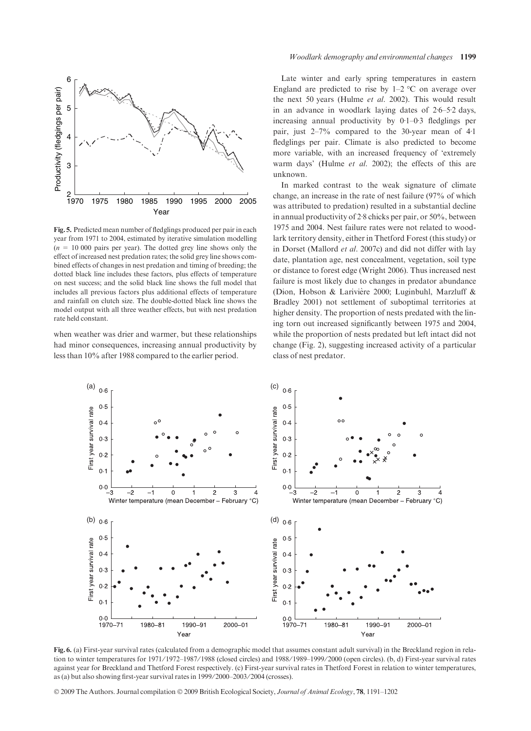

Fig. 5. Predicted mean number of fledglings produced per pair in each year from 1971 to 2004, estimated by iterative simulation modelling  $(n = 10000)$  pairs per year). The dotted grey line shows only the effect of increased nest predation rates; the solid grey line shows combined effects of changes in nest predation and timing of breeding; the dotted black line includes these factors, plus effects of temperature on nest success; and the solid black line shows the full model that includes all previous factors plus additional effects of temperature and rainfall on clutch size. The double-dotted black line shows the model output with all three weather effects, but with nest predation rate held constant.

when weather was drier and warmer, but these relationships had minor consequences, increasing annual productivity by less than 10% after 1988 compared to the earlier period.

Late winter and early spring temperatures in eastern England are predicted to rise by  $1-2$  °C on average over the next 50 years (Hulme et al. 2002). This would result in an advance in woodlark laying dates of  $2.6-5.2$  days, increasing annual productivity by  $0.1-0.3$  fledglings per pair, just  $2-7\%$  compared to the 30-year mean of 4.1 fledglings per pair. Climate is also predicted to become more variable, with an increased frequency of 'extremely warm days' (Hulme et al. 2002); the effects of this are unknown.

In marked contrast to the weak signature of climate change, an increase in the rate of nest failure (97% of which was attributed to predation) resulted in a substantial decline in annual productivity of 2 $\cdot$ 8 chicks per pair, or 50%, between 1975 and 2004. Nest failure rates were not related to woodlark territory density, either in Thetford Forest (this study) or in Dorset (Mallord et al. 2007c) and did not differ with lay date, plantation age, nest concealment, vegetation, soil type or distance to forest edge (Wright 2006). Thus increased nest failure is most likely due to changes in predator abundance (Dion, Hobson & Larivière 2000; Luginbuhl, Marzluff & Bradley 2001) not settlement of suboptimal territories at higher density. The proportion of nests predated with the lining torn out increased significantly between 1975 and 2004, while the proportion of nests predated but left intact did not change (Fig. 2), suggesting increased activity of a particular class of nest predator.



Fig. 6. (a) First-year survival rates (calculated from a demographic model that assumes constant adult survival) in the Breckland region in relation to winter temperatures for 1971/1972-1987/1988 (closed circles) and 1988/1989-1999/2000 (open circles). (b, d) First-year survival rates against year for Breckland and Thetford Forest respectively. (c) First-year survival rates in Thetford Forest in relation to winter temperatures, as (a) but also showing first-year survival rates in 1999 ⁄ 2000–2003 ⁄ 2004 (crosses).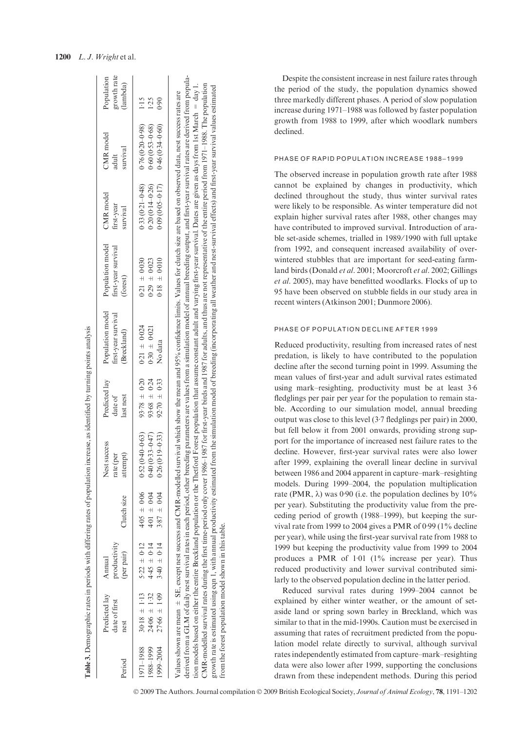| Period                              | Predicted lay<br>date of first<br>nest                                                                                        | productivity<br>(per pair)<br>Annual                  | Clutch size                                       | est success<br>rate (per<br>tempt)<br>ದ                           | Predicted lay<br>date of<br>last nest                    | Population model<br>first-year survival<br>(Breckland) | Population model<br>first-year survival<br>(forest)                                                                                                                                                                                                                                                                                                                                                                                                                                                                                                                                                                                                                                                                                                                                                                                                                                                                                                                                             | CMR model<br>first-year<br>survival                               | CMR model<br>survival<br>adult                                   | growth rate<br>Population<br>(lambda)                     |
|-------------------------------------|-------------------------------------------------------------------------------------------------------------------------------|-------------------------------------------------------|---------------------------------------------------|-------------------------------------------------------------------|----------------------------------------------------------|--------------------------------------------------------|-------------------------------------------------------------------------------------------------------------------------------------------------------------------------------------------------------------------------------------------------------------------------------------------------------------------------------------------------------------------------------------------------------------------------------------------------------------------------------------------------------------------------------------------------------------------------------------------------------------------------------------------------------------------------------------------------------------------------------------------------------------------------------------------------------------------------------------------------------------------------------------------------------------------------------------------------------------------------------------------------|-------------------------------------------------------------------|------------------------------------------------------------------|-----------------------------------------------------------|
| 1988-1999<br>1971–1988<br>1999-2004 | $24.06 \pm 1.32$<br>$30.18 \pm 1.13$<br>$27.66 \pm 1.09$                                                                      | $5.22 \pm 0.12$<br>$4.45 \pm 0.14$<br>$3.40 \pm 0.14$ | $4.05 \pm 0.06$<br>$4.01 + 0.04$<br>$3.87 + 0.04$ | $0.40(0.33 - 0.47)$<br>$0.26(0.19 - 0.33)$<br>$0.52(0.40 - 0.63)$ | $93.78 \pm 0.20$<br>$93.68 \pm 0.24$<br>$92.70 \pm 0.33$ | $0.21 \pm 0.024$<br>$0.30 \pm 0.021$<br>No data        | $0.29 \pm 0.023$<br>$0.21 \pm 0.030$<br>$0.18 \pm 0.010$                                                                                                                                                                                                                                                                                                                                                                                                                                                                                                                                                                                                                                                                                                                                                                                                                                                                                                                                        | $0.20(0.14 - 0.26)$<br>$0.09(0.05 - 0.17)$<br>$0.33(0.21 - 0.48)$ | $0.46(0.34 - 0.60)$<br>$0.76(0.20 - 0.8)$<br>$0.60(0.53 - 0.68)$ | 1.15<br>1.25<br>$\begin{matrix} 0.90 \ 0.00 \end{matrix}$ |
|                                     | Values shown are mean $\pm$ SE, except nest success and CMR-modelled<br>from the forest population model shown in this table. |                                                       |                                                   |                                                                   |                                                          |                                                        | derived from a GLM of daily nest survival rates in each period, other breeding parameters are values from a simulation model of amual breeding output, and first-year survival rates are derived from popula-<br>tion models based on either the entire Breckland population or the Thetford Forest population that assume constant adult and varying first-year survival. Dates are given as days from 1st March = day 1.<br>CMR-modelled survival rates during the first time-period only cover 1986–1987 for first-year birds and 1987 for adults, and thus are not representative of the entire period from 1971–1988. The population<br>growth rate is estimated using eqn 1, with annual productivity estimated from the simulation model of breeding (incorporating all weather and nest-survival effects) and first-year survival values estimated<br>survival which show the mean and 95% confidence limits. Values for clutch size are based on observed data, nest success rates are |                                                                   |                                                                  |                                                           |

Table 3. Demographic rates in periods with differing rates of population increase, as identified by turning points analysis

Demographic rates in periods with differing rates of population increase, as identified by turning points analysis

Despite the consistent increase in nest failure rates through the period of the study, the population dynamics showed three markedly different phases. A period of slow population increase during 1971–1988 was followed by faster population growth from 1988 to 1999, after which woodlark numbers declined.

#### PHASE OF RAPID POPULATION INCREASE 1988–1999

The observed increase in population growth rate after 1988 cannot be explained by changes in productivity, which declined throughout the study, thus winter survival rates were likely to be responsible. As winter temperature did not explain higher survival rates after 1988, other changes may have contributed to improved survival. Introduction of arable set-aside schemes, trialled in 1989/1990 with full uptake from 1992, and consequent increased availability of overwintered stubbles that are important for seed-eating farmland birds (Donald et al. 2001; Moorcroft et al. 2002; Gillings et al. 2005), may have benefitted woodlarks. Flocks of up to 95 have been observed on stubble fields in our study area in recent winters (Atkinson 2001; Dunmore 2006).

# PHASE OF POPULATION DECLINE AFTER 1999

Reduced productivity, resulting from increased rates of nest predation, is likely to have contributed to the population decline after the second turning point in 1999. Assuming the mean values of first-year and adult survival rates estimated using mark–resighting, productivity must be at least  $3.6$ fledglings per pair per year for the population to remain stable. According to our simulation model, annual breeding output was close to this level  $(3.7 \text{ fledglings per pair})$  in 2000, but fell below it from 2001 onwards, providing strong support for the importance of increased nest failure rates to the decline. However, first-year survival rates were also lower after 1999, explaining the overall linear decline in survival between 1986 and 2004 apparent in capture–mark–resighting models. During 1999–2004, the population multiplication rate (PMR,  $\lambda$ ) was 0.90 (i.e. the population declines by 10% per year). Substituting the productivity value from the preceding period of growth (1988–1999), but keeping the survival rate from 1999 to 2004 gives a PMR of  $0.99(1\%$  decline per year), while using the first-year survival rate from 1988 to 1999 but keeping the productivity value from 1999 to 2004 produces a PMR of  $1.01$  (1% increase per year). Thus reduced productivity and lower survival contributed similarly to the observed population decline in the latter period.

Reduced survival rates during 1999–2004 cannot be explained by either winter weather, or the amount of setaside land or spring sown barley in Breckland, which was similar to that in the mid-1990s. Caution must be exercised in assuming that rates of recruitment predicted from the population model relate directly to survival, although survival rates independently estimated from capture–mark–resighting data were also lower after 1999, supporting the conclusions drawn from these independent methods. During this period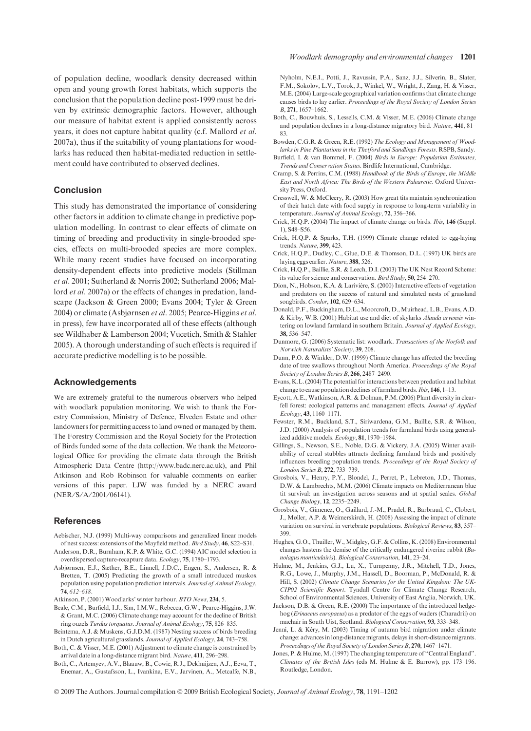of population decline, woodlark density decreased within open and young growth forest habitats, which supports the conclusion that the population decline post-1999 must be driven by extrinsic demographic factors. However, although our measure of habitat extent is applied consistently across years, it does not capture habitat quality (c.f. Mallord et al. 2007a), thus if the suitability of young plantations for woodlarks has reduced then habitat-mediated reduction in settlement could have contributed to observed declines.

# Conclusion

This study has demonstrated the importance of considering other factors in addition to climate change in predictive population modelling. In contrast to clear effects of climate on timing of breeding and productivity in single-brooded species, effects on multi-brooded species are more complex. While many recent studies have focused on incorporating density-dependent effects into predictive models (Stillman et al. 2001; Sutherland & Norris 2002; Sutherland 2006; Mallord *et al.* 2007a) or the effects of changes in predation, landscape (Jackson & Green 2000; Evans 2004; Tyler & Green 2004) or climate (Asbjørnsen et al. 2005; Pearce-Higgins et al. in press), few have incorporated all of these effects (although see Wildhaber & Lamberson 2004; Vucetich, Smith & Stahler 2005). A thorough understanding of such effects is required if accurate predictive modelling is to be possible.

# Acknowledgements

We are extremely grateful to the numerous observers who helped with woodlark population monitoring. We wish to thank the Forestry Commission, Ministry of Defence, Elveden Estate and other landowners for permitting access to land owned or managed by them. The Forestry Commission and the Royal Society for the Protection of Birds funded some of the data collection. We thank the Meteorological Office for providing the climate data through the British Atmospheric Data Centre (http://www.badc.nerc.ac.uk), and Phil Atkinson and Rob Robinson for valuable comments on earlier versions of this paper. LJW was funded by a NERC award (NER/S/A/2001/06141).

#### References

- Aebischer, N.J. (1999) Multi-way comparisons and generalized linear models of nest success: extensions of the Mayfield method. Bird Study, 46, S22–S31.
- Anderson, D.R., Burnham, K.P. & White, G.C. (1994) AIC model selection in overdispersed capture-recapture data. Ecology, 75, 1780–1793.
- Asbjørnsen, E.J., Sæther, B.E., Linnell, J.D.C., Engen, S., Andersen, R. & Bretten, T. (2005) Predicting the growth of a small introduced muskox population using population prediction intervals. Journal of Animal Ecology, 74, 612–618.
- Atkinson, P. (2001) Woodlarks' winter harbour. BTO News, 234, 5.
- Beale, C.M., Burfield, I.J., Sim, I.M.W., Rebecca, G.W., Pearce-Higgins, J.W. & Grant, M.C. (2006) Climate change may account for the decline of British ring ouzels Turdus torquatus. Journal of Animal Ecology, 75, 826–835.
- Beintema, A.J. & Muskens, G.J.D.M. (1987) Nesting success of birds breeding in Dutch agricultural grasslands. Journal of Applied Ecology, 24, 743–758. Both, C. & Visser, M.E. (2001) Adjustment to climate change is constrained by
- arrival date in a long-distance migrant bird. Nature, 411, 296–298.
- Both, C., Artemyev, A.V., Blaauw, B., Cowie, R.J., Dekhuijzen, A.J., Eeva, T., Enemar, A., Gustafsson, L., Ivankina, E.V., Jarvinen, A., Metcalfe, N.B.,

Nyholm, N.E.I., Potti, J., Ravussin, P.A., Sanz, J.J., Silverin, B., Slater, F.M., Sokolov, L.V., Torok, J., Winkel, W., Wright, J., Zang, H. & Visser, M.E. (2004) Large-scale geographical variation confirms that climate change causes birds to lay earlier. Proceedings of the Royal Society of London Series B, 271, 1657–1662.

- Both, C., Bouwhuis, S., Lessells, C.M. & Visser, M.E. (2006) Climate change and population declines in a long-distance migratory bird. Nature, 441, 81– 83.
- Bowden, C.G.R. & Green, R.E. (1992) The Ecology and Management of Woodlarks in Pine Plantations in the Thetford and Sandlings Forests. RSPB, Sandy.
- Burfield, I. & van Bommel, F. (2004) Birds in Europe: Population Estimates, Trends and Conservation Status. Birdlife International, Cambridge.
- Cramp, S. & Perrins, C.M. (1988) Handbook of the Birds of Europe, the Middle East and North Africa: The Birds of the Western Palearctic. Oxford University Press, Oxford.
- Cresswell, W. & McCleery, R. (2003) How great tits maintain synchronization of their hatch date with food supply in response to long-term variability in temperature. Journal of Animal Ecology, 72, 356-366.
- Crick, H.Q.P. (2004) The impact of climate change on birds. Ibis, 146 (Suppl. 1), S48–S56.
- Crick, H.Q.P. & Sparks, T.H. (1999) Climate change related to egg-laying trends. Nature, 399, 423.
- Crick, H.Q.P., Dudley, C., Glue, D.E. & Thomson, D.L. (1997) UK birds are laying eggs earlier. Nature, 388, 526.
- Crick, H.Q.P., Baillie, S.R. & Leech, D.I. (2003) The UK Nest Record Scheme: its value for science and conservation. Bird Study, 50, 254–270.
- Dion, N., Hobson, K.A. & Larivière, S. (2000) Interactive effects of vegetation and predators on the success of natural and simulated nests of grassland songbirds. Condor, 102, 629-634.
- Donald, P.F., Buckingham, D.L., Moorcroft, D., Muirhead, L.B., Evans, A.D. & Kirby, W.B. (2001) Habitat use and diet of skylarks Alauda arvensis wintering on lowland farmland in southern Britain. Journal of Applied Ecology, 38, 536–547.
- Dunmore, G. (2006) Systematic list: woodlark. Transactions of the Norfolk and Norwich Naturalists' Society, 39, 208.
- Dunn, P.O. & Winkler, D.W. (1999) Climate change has affected the breeding date of tree swallows throughout North America. Proceedings of the Royal Society of London Series B, 266, 2487–2490.
- Evans, K.L. (2004) The potential for interactions between predation and habitat change to cause population declines of farmland birds. *Ibis*, 146, 1-13.
- Eycott, A.E., Watkinson, A.R. & Dolman, P.M. (2006) Plant diversity in clearfell forest: ecological patterns and management effects. Journal of Applied Ecology, 43, 1160–1171.
- Fewster, R.M., Buckland, S.T., Siriwardena, G.M., Baillie, S.R. & Wilson, J.D. (2000) Analysis of population trends for farmland birds using generalized additive models. Ecology, 81, 1970-1984.
- Gillings, S., Newson, S.E., Noble, D.G. & Vickery, J.A. (2005) Winter availability of cereal stubbles attracts declining farmland birds and positively influences breeding population trends. Proceedings of the Royal Society of London Series B, 272, 733–739.
- Grosbois, V., Henry, P.Y., Blondel, J., Perret, P., Lebreton, J.D., Thomas, D.W. & Lambrechts, M.M. (2006) Climate impacts on Mediterranean blue tit survival: an investigation across seasons and at spatial scales. Global Change Biology, 12, 2235–2249.
- Grosbois, V., Gimenez, O., Gaillard, J.-M., Pradel, R., Barbraud, C., Clobert, J., Møller, A.P. & Weimerskirch, H. (2008) Assessing the impact of climate variation on survival in vertebrate populations. Biological Reviews, 83, 357– 399.
- Hughes, G.O., Thuiller, W., Midgley, G.F. & Collins, K. (2008) Environmental changes hastens the demise of the critically endangered riverine rabbit (Bunolagus monticulairis). Biological Conservation, 141, 23–24.
- Hulme, M., Jenkins, G.J., Lu, X., Turnpenny, J.R., Mitchell, T.D., Jones, R.G., Lowe, J., Murphy, J.M., Hassell, D., Boorman, P., McDonald, R. & Hill, S. (2002) Climate Change Scenarios for the United Kingdom: The UK-CIP02 Scientific Report. Tyndall Centre for Climate Change Research, School of Environmental Sciences, University of East Anglia, Norwich, UK.
- Jackson, D.B. & Green, R.E. (2000) The importance of the introduced hedgehog (Erinaceus europaeus) as a predator of the eggs of waders (Charadrii) on machair in South Uist, Scotland. Biological Conservation, 93, 333–348.
- Jenni, L. & Kéry, M. (2003) Timing of autumn bird migration under climate change: advances in long-distance migrants, delays in short-distance migrants. Proceedings of the Royal Society of London Series B, 270, 1467–1471.
- Jones, P. & Hulme, M. (1997) The changing temperature of ''Central England''. Climates of the British Isles (eds M. Hulme & E. Barrow), pp. 173–196. Routledge, London.